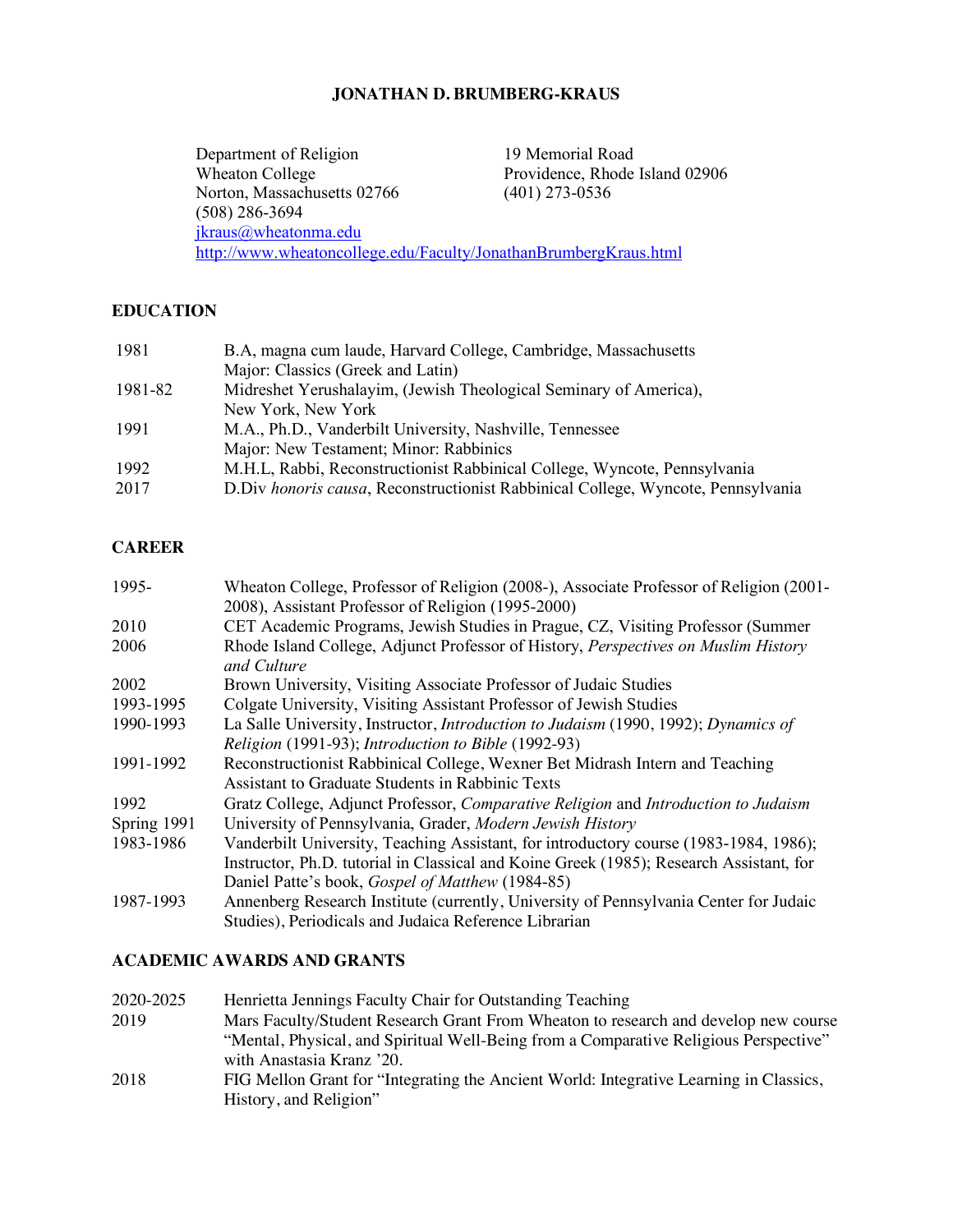## **JONATHAN D. BRUMBERG-KRAUS**

Department of Religion 19 Memorial Road<br>Wheaton College Providence, Rhode Providence, Rhode Island 02906<br>(401) 273-0536 Norton, Massachusetts 02766 (508) 286-3694 jkraus@wheatonma.edu http://www.wheatoncollege.edu/Faculty/JonathanBrumbergKraus.html

### **EDUCATION**

| 1981    | B.A, magna cum laude, Harvard College, Cambridge, Massachusetts                   |
|---------|-----------------------------------------------------------------------------------|
|         | Major: Classics (Greek and Latin)                                                 |
| 1981-82 | Midreshet Yerushalayim, (Jewish Theological Seminary of America),                 |
|         | New York, New York                                                                |
| 1991    | M.A., Ph.D., Vanderbilt University, Nashville, Tennessee                          |
|         | Major: New Testament; Minor: Rabbinics                                            |
| 1992    | M.H.L., Rabbi, Reconstructionist Rabbinical College, Wyncote, Pennsylvania        |
| 2017    | D. Div honoris causa, Reconstructionist Rabbinical College, Wyncote, Pennsylvania |

# **CAREER**

| Wheaton College, Professor of Religion (2008-), Associate Professor of Religion (2001-            |
|---------------------------------------------------------------------------------------------------|
| 2008), Assistant Professor of Religion (1995-2000)                                                |
| CET Academic Programs, Jewish Studies in Prague, CZ, Visiting Professor (Summer                   |
| Rhode Island College, Adjunct Professor of History, Perspectives on Muslim History<br>and Culture |
| Brown University, Visiting Associate Professor of Judaic Studies                                  |
| Colgate University, Visiting Assistant Professor of Jewish Studies                                |
| La Salle University, Instructor, <i>Introduction to Judaism</i> (1990, 1992); <i>Dynamics of</i>  |
| Religion (1991-93); Introduction to Bible (1992-93)                                               |
| Reconstructionist Rabbinical College, Wexner Bet Midrash Intern and Teaching                      |
| Assistant to Graduate Students in Rabbinic Texts                                                  |
| Gratz College, Adjunct Professor, Comparative Religion and Introduction to Judaism                |
| University of Pennsylvania, Grader, Modern Jewish History                                         |
| Vanderbilt University, Teaching Assistant, for introductory course (1983-1984, 1986);             |
| Instructor, Ph.D. tutorial in Classical and Koine Greek (1985); Research Assistant, for           |
| Daniel Patte's book, Gospel of Matthew (1984-85)                                                  |
| Annenberg Research Institute (currently, University of Pennsylvania Center for Judaic             |
| Studies), Periodicals and Judaica Reference Librarian                                             |
|                                                                                                   |

# **ACADEMIC AWARDS AND GRANTS**

| 2020-2025 | Henrietta Jennings Faculty Chair for Outstanding Teaching                              |
|-----------|----------------------------------------------------------------------------------------|
| 2019      | Mars Faculty/Student Research Grant From Wheaton to research and develop new course    |
|           | "Mental, Physical, and Spiritual Well-Being from a Comparative Religious Perspective"  |
|           | with Anastasia Kranz '20.                                                              |
| 2018      | FIG Mellon Grant for "Integrating the Ancient World: Integrative Learning in Classics, |
|           | History, and Religion"                                                                 |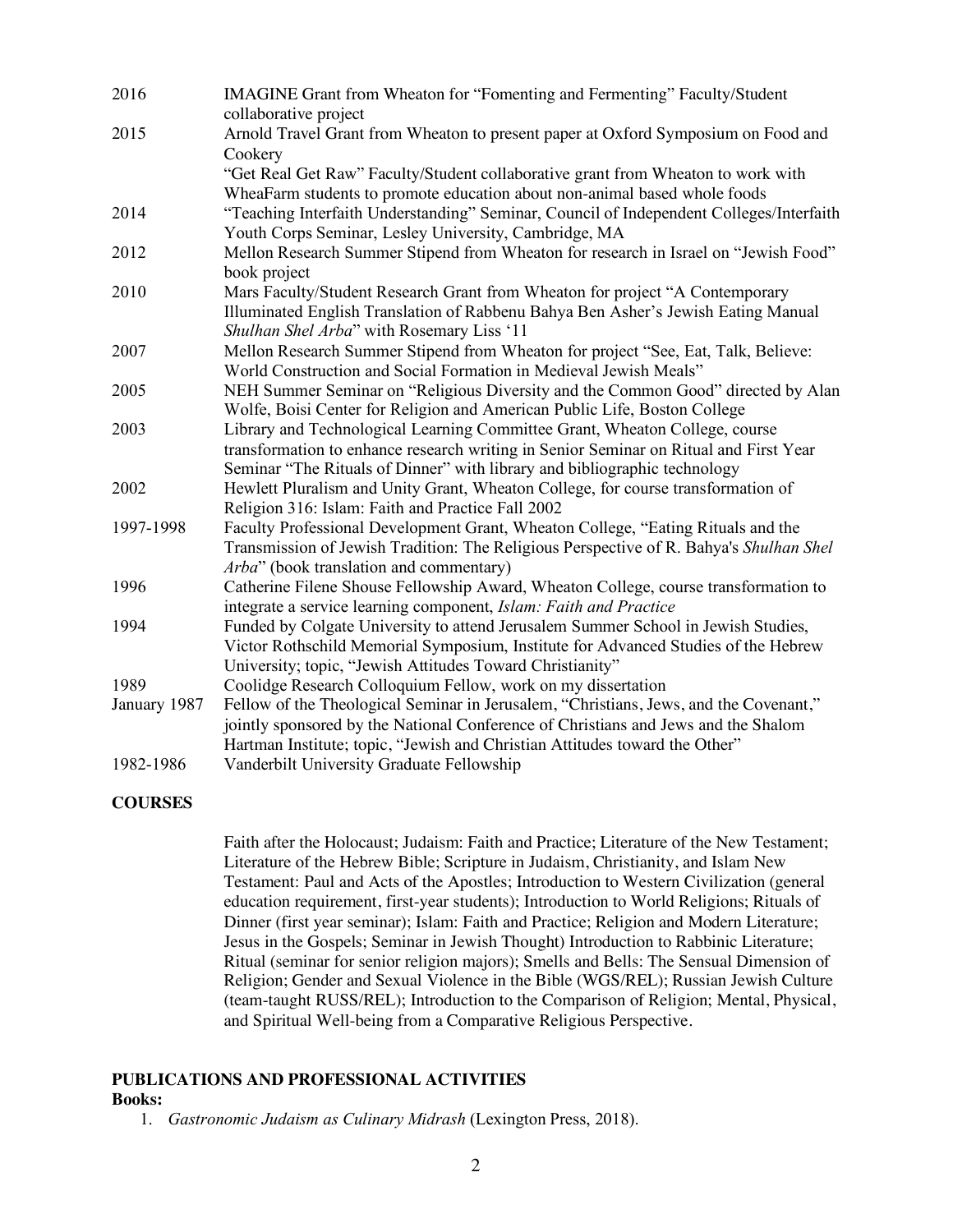| IMAGINE Grant from Wheaton for "Fomenting and Fermenting" Faculty/Student<br>collaborative project                                                                                                                                                |
|---------------------------------------------------------------------------------------------------------------------------------------------------------------------------------------------------------------------------------------------------|
| Arnold Travel Grant from Wheaton to present paper at Oxford Symposium on Food and<br>Cookery                                                                                                                                                      |
| "Get Real Get Raw" Faculty/Student collaborative grant from Wheaton to work with<br>WheaFarm students to promote education about non-animal based whole foods                                                                                     |
| "Teaching Interfaith Understanding" Seminar, Council of Independent Colleges/Interfaith<br>Youth Corps Seminar, Lesley University, Cambridge, MA                                                                                                  |
| Mellon Research Summer Stipend from Wheaton for research in Israel on "Jewish Food"<br>book project                                                                                                                                               |
| Mars Faculty/Student Research Grant from Wheaton for project "A Contemporary<br>Illuminated English Translation of Rabbenu Bahya Ben Asher's Jewish Eating Manual<br>Shulhan Shel Arba" with Rosemary Liss '11                                    |
| Mellon Research Summer Stipend from Wheaton for project "See, Eat, Talk, Believe:<br>World Construction and Social Formation in Medieval Jewish Meals"                                                                                            |
| NEH Summer Seminar on "Religious Diversity and the Common Good" directed by Alan<br>Wolfe, Boisi Center for Religion and American Public Life, Boston College                                                                                     |
| Library and Technological Learning Committee Grant, Wheaton College, course<br>transformation to enhance research writing in Senior Seminar on Ritual and First Year<br>Seminar "The Rituals of Dinner" with library and bibliographic technology |
| Hewlett Pluralism and Unity Grant, Wheaton College, for course transformation of<br>Religion 316: Islam: Faith and Practice Fall 2002                                                                                                             |
| Faculty Professional Development Grant, Wheaton College, "Eating Rituals and the<br>Transmission of Jewish Tradition: The Religious Perspective of R. Bahya's Shulhan Shel<br>Arba" (book translation and commentary)                             |
| Catherine Filene Shouse Fellowship Award, Wheaton College, course transformation to<br>integrate a service learning component, Islam: Faith and Practice                                                                                          |
| Funded by Colgate University to attend Jerusalem Summer School in Jewish Studies,<br>Victor Rothschild Memorial Symposium, Institute for Advanced Studies of the Hebrew<br>University; topic, "Jewish Attitudes Toward Christianity"              |
| Coolidge Research Colloquium Fellow, work on my dissertation                                                                                                                                                                                      |
| Fellow of the Theological Seminar in Jerusalem, "Christians, Jews, and the Covenant,"                                                                                                                                                             |
| jointly sponsored by the National Conference of Christians and Jews and the Shalom<br>Hartman Institute; topic, "Jewish and Christian Attitudes toward the Other"                                                                                 |
| Vanderbilt University Graduate Fellowship                                                                                                                                                                                                         |
|                                                                                                                                                                                                                                                   |

#### **COURSES**

Faith after the Holocaust; Judaism: Faith and Practice; Literature of the New Testament; Literature of the Hebrew Bible; Scripture in Judaism, Christianity, and Islam New Testament: Paul and Acts of the Apostles; Introduction to Western Civilization (general education requirement, first-year students); Introduction to World Religions; Rituals of Dinner (first year seminar); Islam: Faith and Practice; Religion and Modern Literature; Jesus in the Gospels; Seminar in Jewish Thought) Introduction to Rabbinic Literature; Ritual (seminar for senior religion majors); Smells and Bells: The Sensual Dimension of Religion; Gender and Sexual Violence in the Bible (WGS/REL); Russian Jewish Culture (team-taught RUSS/REL); Introduction to the Comparison of Religion; Mental, Physical, and Spiritual Well-being from a Comparative Religious Perspective.

### **PUBLICATIONS AND PROFESSIONAL ACTIVITIES**

#### **Books:**

1. *Gastronomic Judaism as Culinary Midrash* (Lexington Press, 2018).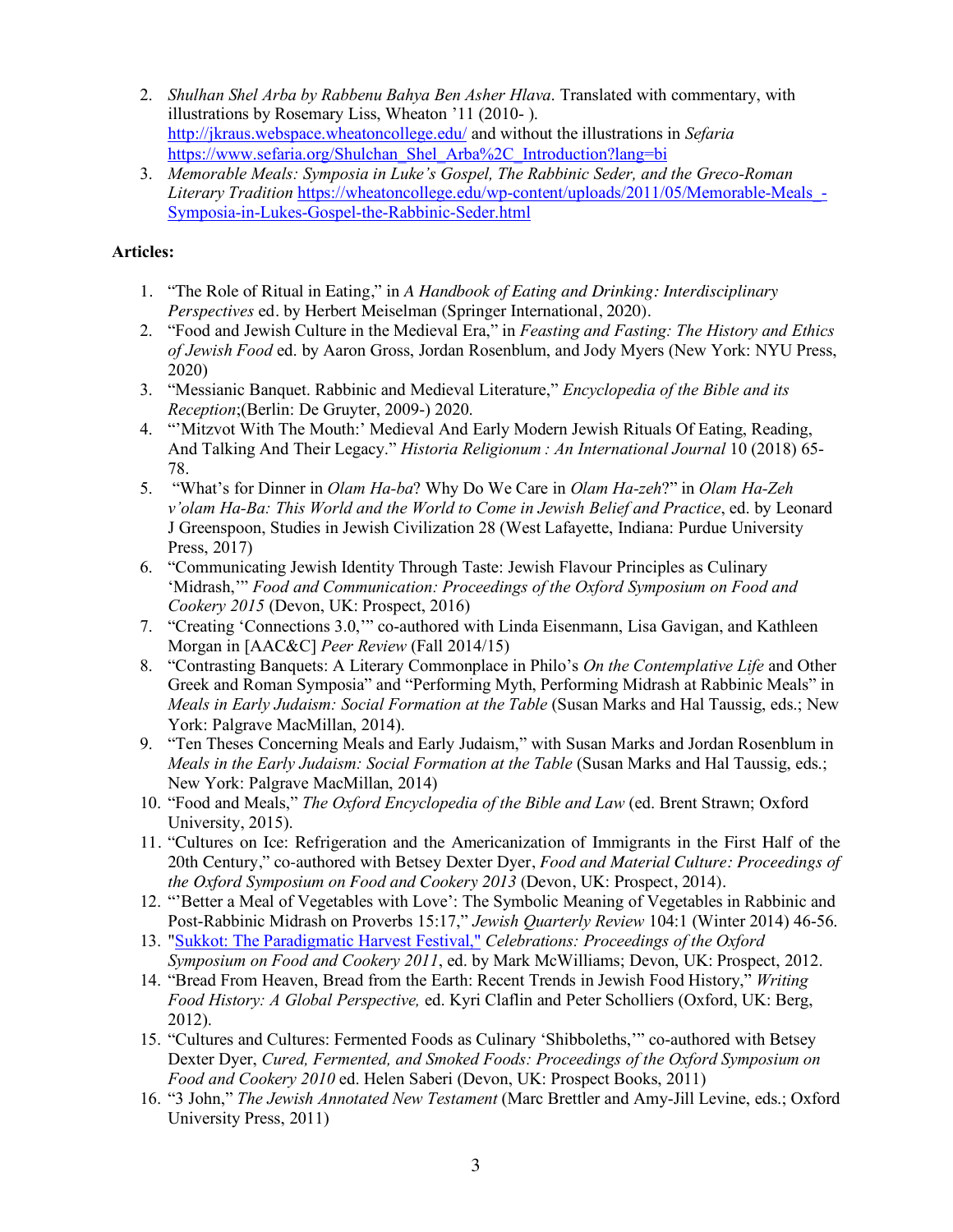- 2. *Shulhan Shel Arba by Rabbenu Bahya Ben Asher Hlava*. Translated with commentary, with illustrations by Rosemary Liss, Wheaton '11 (2010- ). http://jkraus.webspace.wheatoncollege.edu/ and without the illustrations in *Sefaria* https://www.sefaria.org/Shulchan\_Shel\_Arba%2C\_Introduction?lang=bi
- 3. *Memorable Meals: Symposia in Luke's Gospel, The Rabbinic Seder, and the Greco-Roman Literary Tradition* https://wheatoncollege.edu/wp-content/uploads/2011/05/Memorable-Meals\_- Symposia-in-Lukes-Gospel-the-Rabbinic-Seder.html

# **Articles:**

- 1. "The Role of Ritual in Eating," in *A Handbook of Eating and Drinking: Interdisciplinary Perspectives* ed. by Herbert Meiselman (Springer International, 2020).
- 2. "Food and Jewish Culture in the Medieval Era," in *Feasting and Fasting: The History and Ethics of Jewish Food* ed. by Aaron Gross, Jordan Rosenblum, and Jody Myers (New York: NYU Press, 2020)
- 3. "Messianic Banquet. Rabbinic and Medieval Literature," *Encyclopedia of the Bible and its Reception*;(Berlin: De Gruyter, 2009-) 2020.
- 4. "'Mitzvot With The Mouth:' Medieval And Early Modern Jewish Rituals Of Eating, Reading, And Talking And Their Legacy." *Historia Religionum : An International Journal* 10 (2018) 65- 78.
- 5. "What's for Dinner in *Olam Ha-ba*? Why Do We Care in *Olam Ha-zeh*?" in *Olam Ha-Zeh v'olam Ha-Ba: This World and the World to Come in Jewish Belief and Practice*, ed. by Leonard J Greenspoon, Studies in Jewish Civilization 28 (West Lafayette, Indiana: Purdue University Press, 2017)
- 6. "Communicating Jewish Identity Through Taste: Jewish Flavour Principles as Culinary 'Midrash,'" *Food and Communication: Proceedings of the Oxford Symposium on Food and Cookery 2015* (Devon, UK: Prospect, 2016)
- 7. "Creating 'Connections 3.0,'" co-authored with Linda Eisenmann, Lisa Gavigan, and Kathleen Morgan in [AAC&C] *Peer Review* (Fall 2014/15)
- 8. "Contrasting Banquets: A Literary Commonplace in Philo's *On the Contemplative Life* and Other Greek and Roman Symposia" and "Performing Myth, Performing Midrash at Rabbinic Meals" in *Meals in Early Judaism: Social Formation at the Table* (Susan Marks and Hal Taussig, eds.; New York: Palgrave MacMillan, 2014).
- 9. "Ten Theses Concerning Meals and Early Judaism," with Susan Marks and Jordan Rosenblum in *Meals in the Early Judaism: Social Formation at the Table* (Susan Marks and Hal Taussig, eds.; New York: Palgrave MacMillan, 2014)
- 10. "Food and Meals," *The Oxford Encyclopedia of the Bible and Law* (ed. Brent Strawn; Oxford University, 2015).
- 11. "Cultures on Ice: Refrigeration and the Americanization of Immigrants in the First Half of the 20th Century," co-authored with Betsey Dexter Dyer, *Food and Material Culture: Proceedings of the Oxford Symposium on Food and Cookery 2013* (Devon, UK: Prospect, 2014).
- 12. "'Better a Meal of Vegetables with Love': The Symbolic Meaning of Vegetables in Rabbinic and Post-Rabbinic Midrash on Proverbs 15:17," *Jewish Quarterly Review* 104:1 (Winter 2014) 46-56.
- 13. "Sukkot: The Paradigmatic Harvest Festival," *Celebrations: Proceedings of the Oxford Symposium on Food and Cookery 2011*, ed. by Mark McWilliams; Devon, UK: Prospect, 2012.
- 14. "Bread From Heaven, Bread from the Earth: Recent Trends in Jewish Food History," *Writing Food History: A Global Perspective,* ed. Kyri Claflin and Peter Scholliers (Oxford, UK: Berg, 2012).
- 15. "Cultures and Cultures: Fermented Foods as Culinary 'Shibboleths,'" co-authored with Betsey Dexter Dyer, *Cured, Fermented, and Smoked Foods: Proceedings of the Oxford Symposium on Food and Cookery 2010* ed. Helen Saberi (Devon, UK: Prospect Books, 2011)
- 16. "3 John," *The Jewish Annotated New Testament* (Marc Brettler and Amy-Jill Levine, eds.; Oxford University Press, 2011)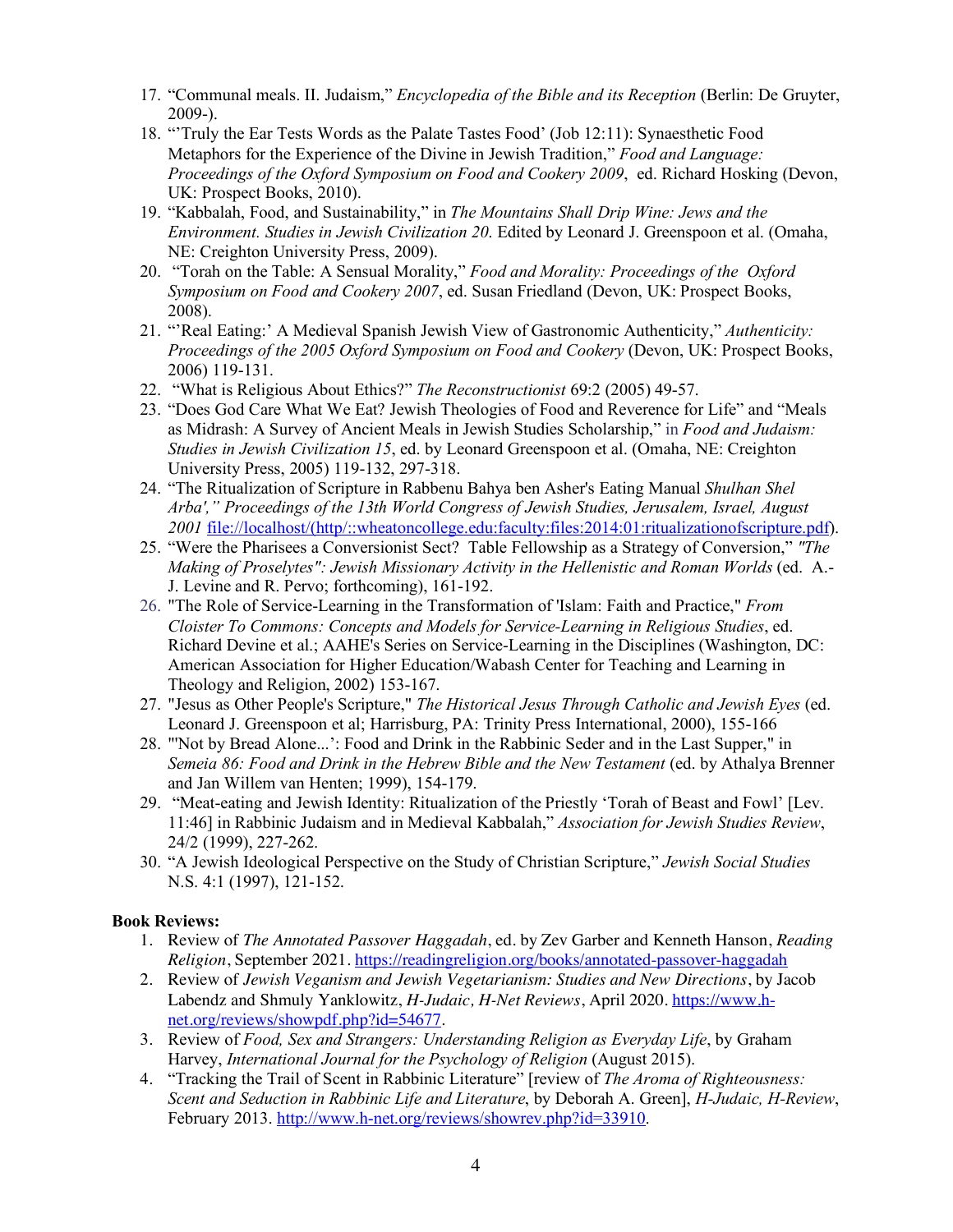- 17. "Communal meals. II. Judaism," *Encyclopedia of the Bible and its Reception* (Berlin: De Gruyter, 2009-).
- 18. "'Truly the Ear Tests Words as the Palate Tastes Food' (Job 12:11): Synaesthetic Food Metaphors for the Experience of the Divine in Jewish Tradition," *Food and Language: Proceedings of the Oxford Symposium on Food and Cookery 2009*, ed. Richard Hosking (Devon, UK: Prospect Books, 2010).
- 19. "Kabbalah, Food, and Sustainability," in *The Mountains Shall Drip Wine: Jews and the Environment. Studies in Jewish Civilization 20*. Edited by Leonard J. Greenspoon et al. (Omaha, NE: Creighton University Press, 2009).
- 20. "Torah on the Table: A Sensual Morality," *Food and Morality: Proceedings of the Oxford Symposium on Food and Cookery 2007*, ed. Susan Friedland (Devon, UK: Prospect Books, 2008).
- 21. "'Real Eating:' A Medieval Spanish Jewish View of Gastronomic Authenticity," *Authenticity: Proceedings of the 2005 Oxford Symposium on Food and Cookery* (Devon, UK: Prospect Books, 2006) 119-131.
- 22. "What is Religious About Ethics?" *The Reconstructionist* 69:2 (2005) 49-57.
- 23. "Does God Care What We Eat? Jewish Theologies of Food and Reverence for Life" and "Meals as Midrash: A Survey of Ancient Meals in Jewish Studies Scholarship," in *Food and Judaism: Studies in Jewish Civilization 15*, ed. by Leonard Greenspoon et al. (Omaha, NE: Creighton University Press, 2005) 119-132, 297-318.
- 24. "The Ritualization of Scripture in Rabbenu Bahya ben Asher's Eating Manual *Shulhan Shel Arba'," Proceedings of the 13th World Congress of Jewish Studies, Jerusalem, Israel, August 2001* file://localhost/(http/::wheatoncollege.edu:faculty:files:2014:01:ritualizationofscripture.pdf).
- 25. "Were the Pharisees a Conversionist Sect? Table Fellowship as a Strategy of Conversion," *"The Making of Proselytes": Jewish Missionary Activity in the Hellenistic and Roman Worlds* (ed. A.- J. Levine and R. Pervo; forthcoming), 161-192.
- 26. "The Role of Service-Learning in the Transformation of 'Islam: Faith and Practice," *From Cloister To Commons: Concepts and Models for Service-Learning in Religious Studies*, ed. Richard Devine et al.; AAHE's Series on Service-Learning in the Disciplines (Washington, DC: American Association for Higher Education/Wabash Center for Teaching and Learning in Theology and Religion, 2002) 153-167.
- 27. "Jesus as Other People's Scripture," *The Historical Jesus Through Catholic and Jewish Eyes* (ed. Leonard J. Greenspoon et al; Harrisburg, PA: Trinity Press International, 2000), 155-166
- 28. "'Not by Bread Alone...': Food and Drink in the Rabbinic Seder and in the Last Supper," in *Semeia 86: Food and Drink in the Hebrew Bible and the New Testament* (ed. by Athalya Brenner and Jan Willem van Henten; 1999), 154-179.
- 29. "Meat-eating and Jewish Identity: Ritualization of the Priestly 'Torah of Beast and Fowl' [Lev. 11:46] in Rabbinic Judaism and in Medieval Kabbalah," *Association for Jewish Studies Review*, 24/2 (1999), 227-262.
- 30. "A Jewish Ideological Perspective on the Study of Christian Scripture," *Jewish Social Studies* N.S. 4:1 (1997), 121-152.

# **Book Reviews:**

- 1. Review of *The Annotated Passover Haggadah*, ed. by Zev Garber and Kenneth Hanson, *Reading Religion*, September 2021. https://readingreligion.org/books/annotated-passover-haggadah
- 2. Review of *Jewish Veganism and Jewish Vegetarianism: Studies and New Directions*, by Jacob Labendz and Shmuly Yanklowitz, *H-Judaic, H-Net Reviews*, April 2020. https://www.hnet.org/reviews/showpdf.php?id=54677.
- 3. Review of *Food, Sex and Strangers: Understanding Religion as Everyday Life*, by Graham Harvey, *International Journal for the Psychology of Religion* (August 2015).
- 4. "Tracking the Trail of Scent in Rabbinic Literature" [review of *The Aroma of Righteousness: Scent and Seduction in Rabbinic Life and Literature*, by Deborah A. Green], *H-Judaic, H-Review*, February 2013. http://www.h-net.org/reviews/showrev.php?id=33910.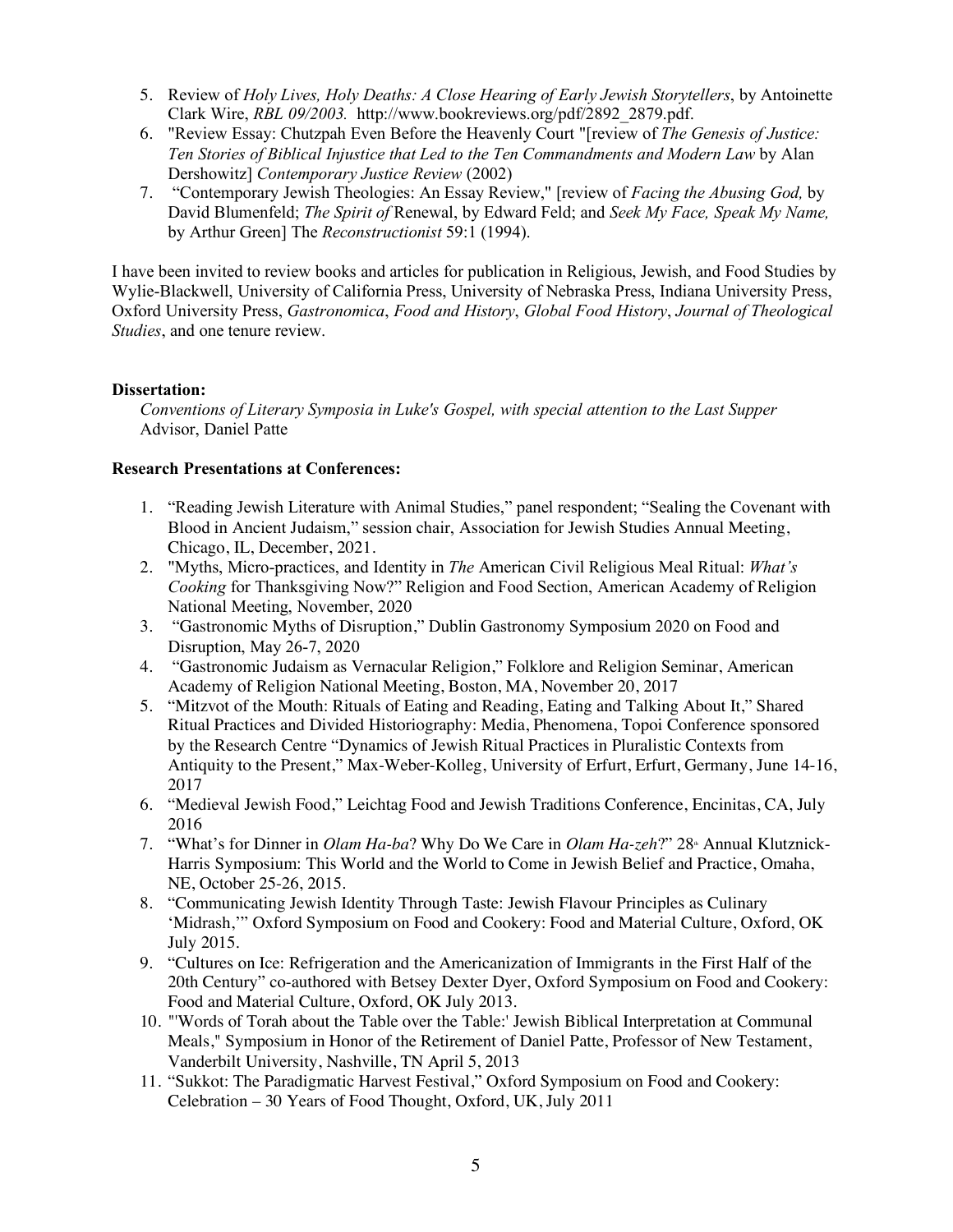- 5. Review of *Holy Lives, Holy Deaths: A Close Hearing of Early Jewish Storytellers*, by Antoinette Clark Wire, *RBL 09/2003.* http://www.bookreviews.org/pdf/2892\_2879.pdf.
- 6. "Review Essay: Chutzpah Even Before the Heavenly Court "[review of *The Genesis of Justice: Ten Stories of Biblical Injustice that Led to the Ten Commandments and Modern Law* by Alan Dershowitz] *Contemporary Justice Review* (2002)
- 7. "Contemporary Jewish Theologies: An Essay Review," [review of *Facing the Abusing God,* by David Blumenfeld; *The Spirit of* Renewal, by Edward Feld; and *Seek My Face, Speak My Name,*  by Arthur Green] The *Reconstructionist* 59:1 (1994).

I have been invited to review books and articles for publication in Religious, Jewish, and Food Studies by Wylie-Blackwell, University of California Press, University of Nebraska Press, Indiana University Press, Oxford University Press, *Gastronomica*, *Food and History*, *Global Food History*, *Journal of Theological Studies*, and one tenure review.

## **Dissertation:**

*Conventions of Literary Symposia in Luke's Gospel, with special attention to the Last Supper* Advisor, Daniel Patte

### **Research Presentations at Conferences:**

- 1. "Reading Jewish Literature with Animal Studies," panel respondent; "Sealing the Covenant with Blood in Ancient Judaism," session chair, Association for Jewish Studies Annual Meeting, Chicago, IL, December, 2021.
- 2. "Myths, Micro-practices, and Identity in *The* American Civil Religious Meal Ritual: *What's Cooking* for Thanksgiving Now?" Religion and Food Section, American Academy of Religion National Meeting, November, 2020
- 3. "Gastronomic Myths of Disruption," Dublin Gastronomy Symposium 2020 on Food and Disruption, May 26-7, 2020
- 4. "Gastronomic Judaism as Vernacular Religion," Folklore and Religion Seminar, American Academy of Religion National Meeting, Boston, MA, November 20, 2017
- 5. "Mitzvot of the Mouth: Rituals of Eating and Reading, Eating and Talking About It," Shared Ritual Practices and Divided Historiography: Media, Phenomena, Topoi Conference sponsored by the Research Centre "Dynamics of Jewish Ritual Practices in Pluralistic Contexts from Antiquity to the Present," Max-Weber-Kolleg, University of Erfurt, Erfurt, Germany, June 14-16, 2017
- 6. "Medieval Jewish Food," Leichtag Food and Jewish Traditions Conference, Encinitas, CA, July 2016
- 7. "What's for Dinner in *Olam Ha-ba*? Why Do We Care in *Olam Ha-zeh*?" 28<sup>\*</sup> Annual Klutznick-Harris Symposium: This World and the World to Come in Jewish Belief and Practice, Omaha, NE, October 25-26, 2015.
- 8. "Communicating Jewish Identity Through Taste: Jewish Flavour Principles as Culinary 'Midrash,'" Oxford Symposium on Food and Cookery: Food and Material Culture, Oxford, OK July 2015.
- 9. "Cultures on Ice: Refrigeration and the Americanization of Immigrants in the First Half of the 20th Century" co-authored with Betsey Dexter Dyer, Oxford Symposium on Food and Cookery: Food and Material Culture, Oxford, OK July 2013.
- 10. "'Words of Torah about the Table over the Table:' Jewish Biblical Interpretation at Communal Meals," Symposium in Honor of the Retirement of Daniel Patte, Professor of New Testament, Vanderbilt University, Nashville, TN April 5, 2013
- 11. "Sukkot: The Paradigmatic Harvest Festival," Oxford Symposium on Food and Cookery: Celebration – 30 Years of Food Thought, Oxford, UK, July 2011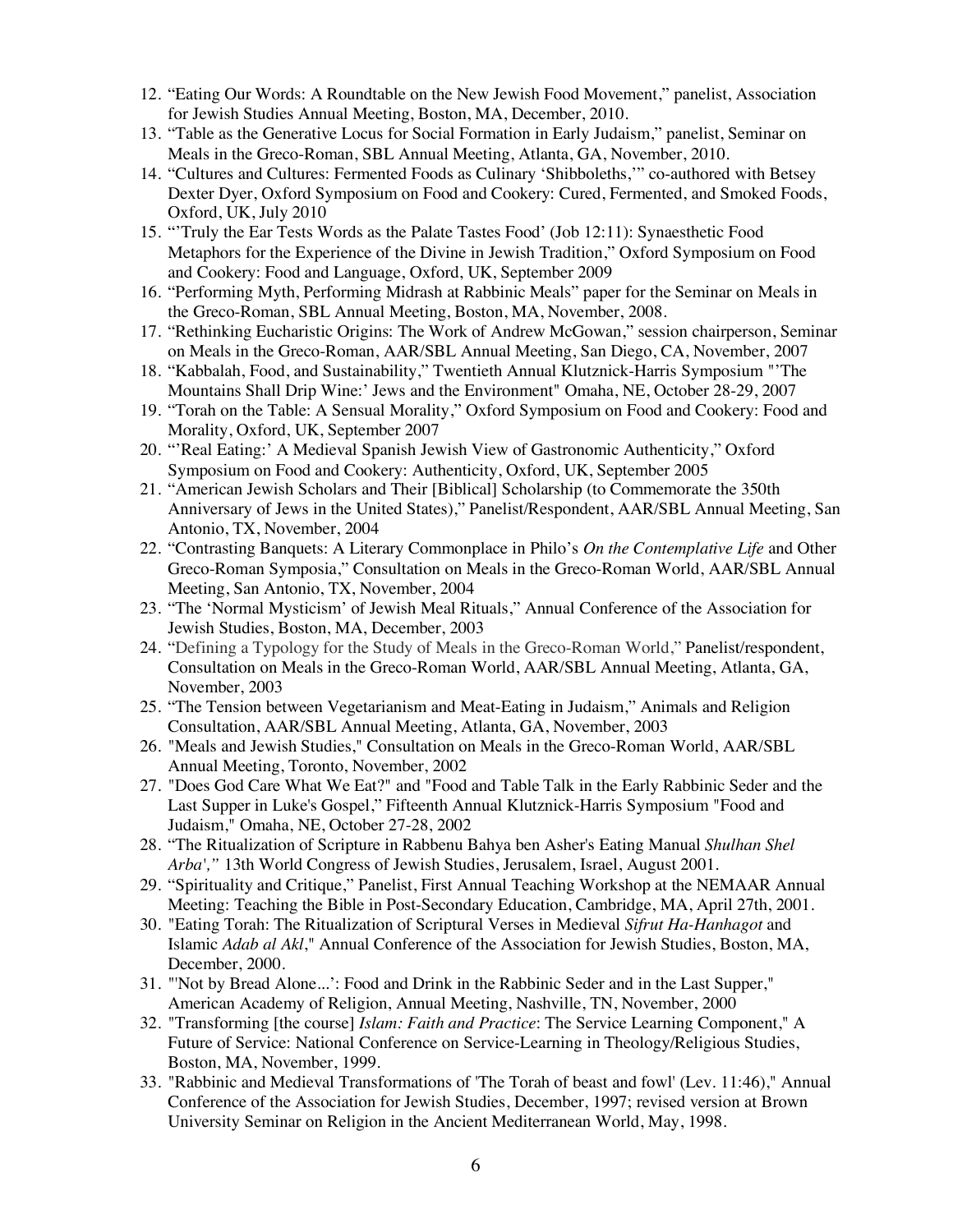- 12. "Eating Our Words: A Roundtable on the New Jewish Food Movement," panelist, Association for Jewish Studies Annual Meeting, Boston, MA, December, 2010.
- 13. "Table as the Generative Locus for Social Formation in Early Judaism," panelist, Seminar on Meals in the Greco-Roman, SBL Annual Meeting, Atlanta, GA, November, 2010.
- 14. "Cultures and Cultures: Fermented Foods as Culinary 'Shibboleths,'" co-authored with Betsey Dexter Dyer, Oxford Symposium on Food and Cookery: Cured, Fermented, and Smoked Foods, Oxford, UK, July 2010
- 15. "'Truly the Ear Tests Words as the Palate Tastes Food' (Job 12:11): Synaesthetic Food Metaphors for the Experience of the Divine in Jewish Tradition," Oxford Symposium on Food and Cookery: Food and Language, Oxford, UK, September 2009
- 16. "Performing Myth, Performing Midrash at Rabbinic Meals" paper for the Seminar on Meals in the Greco-Roman, SBL Annual Meeting, Boston, MA, November, 2008.
- 17. "Rethinking Eucharistic Origins: The Work of Andrew McGowan," session chairperson, Seminar on Meals in the Greco-Roman, AAR/SBL Annual Meeting, San Diego, CA, November, 2007
- 18. "Kabbalah, Food, and Sustainability," Twentieth Annual Klutznick-Harris Symposium "'The Mountains Shall Drip Wine:' Jews and the Environment" Omaha, NE, October 28-29, 2007
- 19. "Torah on the Table: A Sensual Morality," Oxford Symposium on Food and Cookery: Food and Morality, Oxford, UK, September 2007
- 20. "'Real Eating:' A Medieval Spanish Jewish View of Gastronomic Authenticity," Oxford Symposium on Food and Cookery: Authenticity, Oxford, UK, September 2005
- 21. "American Jewish Scholars and Their [Biblical] Scholarship (to Commemorate the 350th Anniversary of Jews in the United States)," Panelist/Respondent, AAR/SBL Annual Meeting, San Antonio, TX, November, 2004
- 22. "Contrasting Banquets: A Literary Commonplace in Philo's *On the Contemplative Life* and Other Greco-Roman Symposia," Consultation on Meals in the Greco-Roman World, AAR/SBL Annual Meeting, San Antonio, TX, November, 2004
- 23. "The 'Normal Mysticism' of Jewish Meal Rituals," Annual Conference of the Association for Jewish Studies, Boston, MA, December, 2003
- 24. "Defining a Typology for the Study of Meals in the Greco-Roman World," Panelist/respondent, Consultation on Meals in the Greco-Roman World, AAR/SBL Annual Meeting, Atlanta, GA, November, 2003
- 25. "The Tension between Vegetarianism and Meat-Eating in Judaism," Animals and Religion Consultation, AAR/SBL Annual Meeting, Atlanta, GA, November, 2003
- 26. "Meals and Jewish Studies," Consultation on Meals in the Greco-Roman World, AAR/SBL Annual Meeting, Toronto, November, 2002
- 27. "Does God Care What We Eat?" and "Food and Table Talk in the Early Rabbinic Seder and the Last Supper in Luke's Gospel," Fifteenth Annual Klutznick-Harris Symposium "Food and Judaism," Omaha, NE, October 27-28, 2002
- 28. "The Ritualization of Scripture in Rabbenu Bahya ben Asher's Eating Manual *Shulhan Shel Arba',"* 13th World Congress of Jewish Studies, Jerusalem, Israel, August 2001.
- 29. "Spirituality and Critique," Panelist, First Annual Teaching Workshop at the NEMAAR Annual Meeting: Teaching the Bible in Post-Secondary Education, Cambridge, MA, April 27th, 2001.
- 30. "Eating Torah: The Ritualization of Scriptural Verses in Medieval *Sifrut Ha-Hanhagot* and Islamic *Adab al Akl*," Annual Conference of the Association for Jewish Studies, Boston, MA, December, 2000.
- 31. "'Not by Bread Alone...': Food and Drink in the Rabbinic Seder and in the Last Supper," American Academy of Religion, Annual Meeting, Nashville, TN, November, 2000
- 32. "Transforming [the course] *Islam: Faith and Practice*: The Service Learning Component," A Future of Service: National Conference on Service-Learning in Theology/Religious Studies, Boston, MA, November, 1999.
- 33. "Rabbinic and Medieval Transformations of 'The Torah of beast and fowl' (Lev. 11:46)," Annual Conference of the Association for Jewish Studies, December, 1997; revised version at Brown University Seminar on Religion in the Ancient Mediterranean World, May, 1998.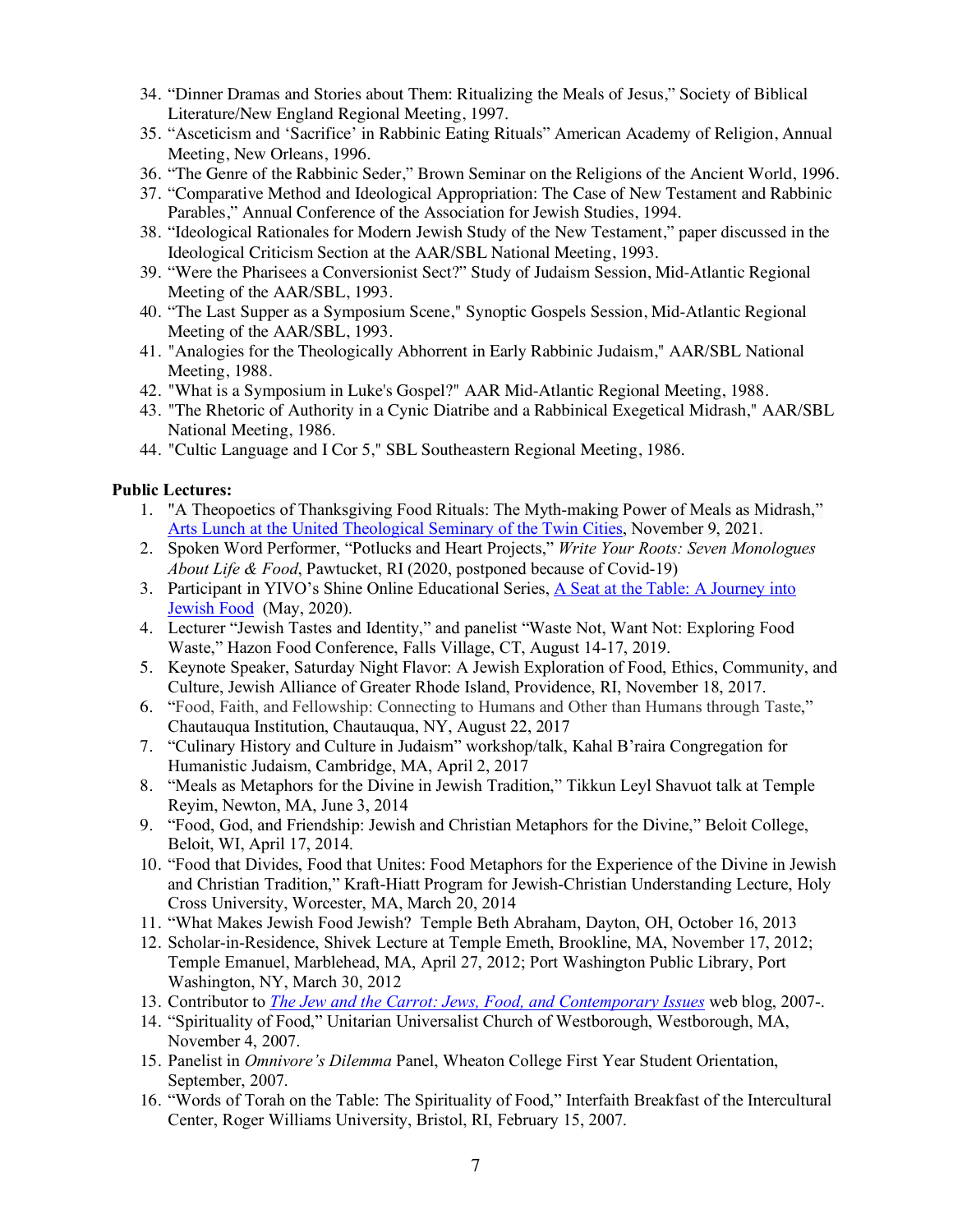- 34. "Dinner Dramas and Stories about Them: Ritualizing the Meals of Jesus," Society of Biblical Literature/New England Regional Meeting, 1997.
- 35. "Asceticism and 'Sacrifice' in Rabbinic Eating Rituals" American Academy of Religion, Annual Meeting, New Orleans, 1996.
- 36. "The Genre of the Rabbinic Seder," Brown Seminar on the Religions of the Ancient World, 1996.
- 37. "Comparative Method and Ideological Appropriation: The Case of New Testament and Rabbinic Parables," Annual Conference of the Association for Jewish Studies, 1994.
- 38. "Ideological Rationales for Modern Jewish Study of the New Testament," paper discussed in the Ideological Criticism Section at the AAR/SBL National Meeting, 1993.
- 39. "Were the Pharisees a Conversionist Sect?" Study of Judaism Session, Mid-Atlantic Regional Meeting of the AAR/SBL, 1993.
- 40. "The Last Supper as a Symposium Scene," Synoptic Gospels Session, Mid-Atlantic Regional Meeting of the AAR/SBL, 1993.
- 41. "Analogies for the Theologically Abhorrent in Early Rabbinic Judaism," AAR/SBL National Meeting, 1988.
- 42. "What is a Symposium in Luke's Gospel?" AAR Mid-Atlantic Regional Meeting, 1988.
- 43. "The Rhetoric of Authority in a Cynic Diatribe and a Rabbinical Exegetical Midrash," AAR/SBL National Meeting, 1986.
- 44. "Cultic Language and I Cor 5," SBL Southeastern Regional Meeting, 1986.

#### **Public Lectures:**

- 1. "A Theopoetics of Thanksgiving Food Rituals: The Myth-making Power of Meals as Midrash," Arts Lunch at the United Theological Seminary of the Twin Cities, November 9, 2021.
- 2. Spoken Word Performer, "Potlucks and Heart Projects," *Write Your Roots: Seven Monologues About Life & Food*, Pawtucket, RI (2020, postponed because of Covid-19)
- 3. Participant in YIVO's Shine Online Educational Series, A Seat at the Table: A Journey into Jewish Food (May, 2020).
- 4. Lecturer "Jewish Tastes and Identity," and panelist "Waste Not, Want Not: Exploring Food Waste," Hazon Food Conference, Falls Village, CT, August 14-17, 2019.
- 5. Keynote Speaker, Saturday Night Flavor: A Jewish Exploration of Food, Ethics, Community, and Culture, Jewish Alliance of Greater Rhode Island, Providence, RI, November 18, 2017.
- 6. "Food, Faith, and Fellowship: Connecting to Humans and Other than Humans through Taste," Chautauqua Institution, Chautauqua, NY, August 22, 2017
- 7. "Culinary History and Culture in Judaism" workshop/talk, Kahal B'raira Congregation for Humanistic Judaism, Cambridge, MA, April 2, 2017
- 8. "Meals as Metaphors for the Divine in Jewish Tradition," Tikkun Leyl Shavuot talk at Temple Reyim, Newton, MA, June 3, 2014
- 9. "Food, God, and Friendship: Jewish and Christian Metaphors for the Divine," Beloit College, Beloit, WI, April 17, 2014.
- 10. "Food that Divides, Food that Unites: Food Metaphors for the Experience of the Divine in Jewish and Christian Tradition," Kraft-Hiatt Program for Jewish-Christian Understanding Lecture, Holy Cross University, Worcester, MA, March 20, 2014
- 11. "What Makes Jewish Food Jewish? Temple Beth Abraham, Dayton, OH, October 16, 2013
- 12. Scholar-in-Residence, Shivek Lecture at Temple Emeth, Brookline, MA, November 17, 2012; Temple Emanuel, Marblehead, MA, April 27, 2012; Port Washington Public Library, Port Washington, NY, March 30, 2012
- 13. Contributor to *The Jew and the Carrot: Jews, Food, and Contemporary Issues* web blog, 2007-.
- 14. "Spirituality of Food," Unitarian Universalist Church of Westborough, Westborough, MA, November 4, 2007.
- 15. Panelist in *Omnivore's Dilemma* Panel, Wheaton College First Year Student Orientation, September, 2007.
- 16. "Words of Torah on the Table: The Spirituality of Food," Interfaith Breakfast of the Intercultural Center, Roger Williams University, Bristol, RI, February 15, 2007.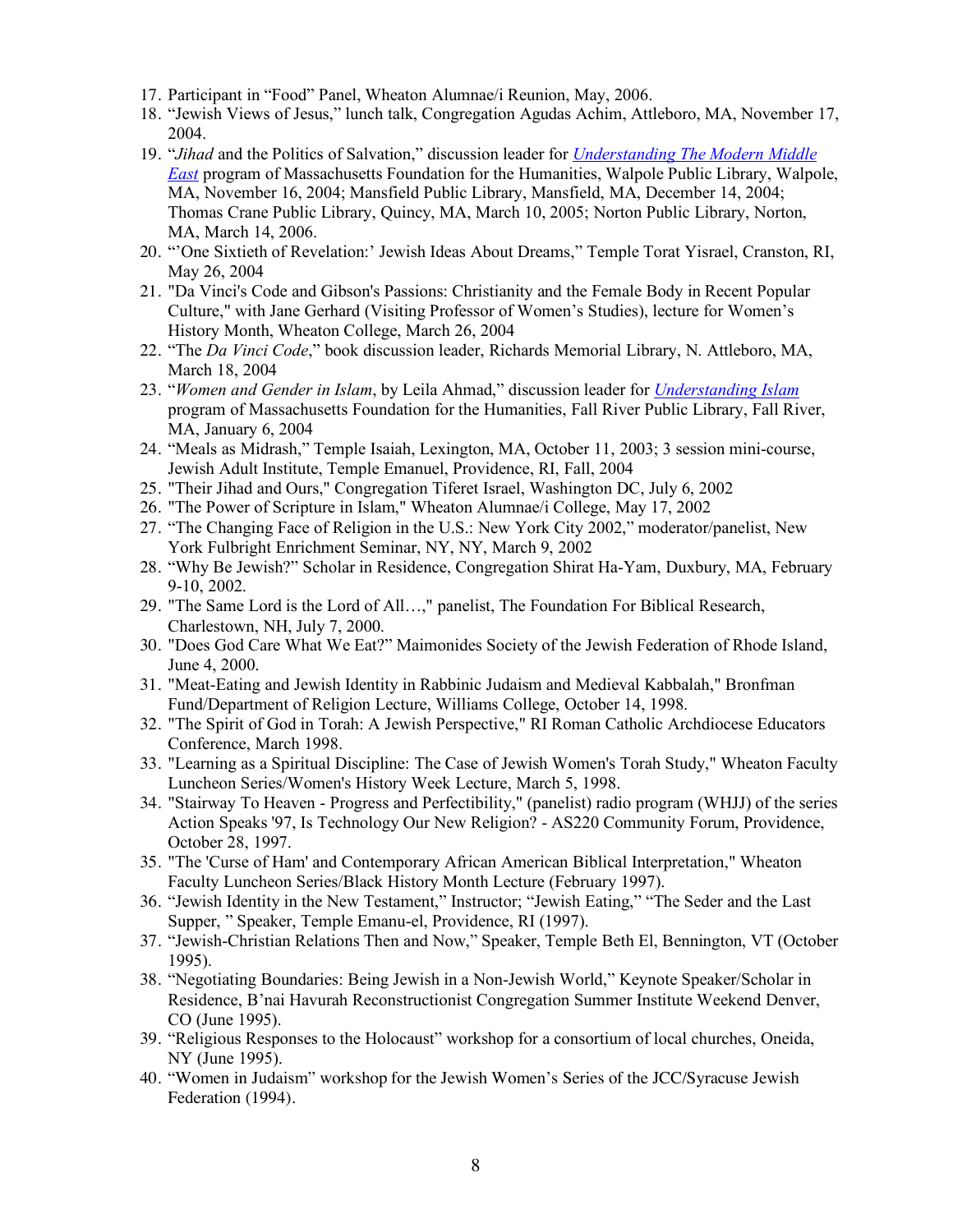- 17. Participant in "Food" Panel, Wheaton Alumnae/i Reunion, May, 2006.
- 18. "Jewish Views of Jesus," lunch talk, Congregation Agudas Achim, Attleboro, MA, November 17, 2004.
- 19. "*Jihad* and the Politics of Salvation," discussion leader for *Understanding The Modern Middle East* program of Massachusetts Foundation for the Humanities, Walpole Public Library, Walpole, MA, November 16, 2004; Mansfield Public Library, Mansfield, MA, December 14, 2004; Thomas Crane Public Library, Quincy, MA, March 10, 2005; Norton Public Library, Norton, MA, March 14, 2006.
- 20. "'One Sixtieth of Revelation:' Jewish Ideas About Dreams," Temple Torat Yisrael, Cranston, RI, May 26, 2004
- 21. "Da Vinci's Code and Gibson's Passions: Christianity and the Female Body in Recent Popular Culture," with Jane Gerhard (Visiting Professor of Women's Studies), lecture for Women's History Month, Wheaton College, March 26, 2004
- 22. "The *Da Vinci Code*," book discussion leader, Richards Memorial Library, N. Attleboro, MA, March 18, 2004
- 23. "*Women and Gender in Islam*, by Leila Ahmad," discussion leader for *Understanding Islam* program of Massachusetts Foundation for the Humanities, Fall River Public Library, Fall River, MA, January 6, 2004
- 24. "Meals as Midrash," Temple Isaiah, Lexington, MA, October 11, 2003; 3 session mini-course, Jewish Adult Institute, Temple Emanuel, Providence, RI, Fall, 2004
- 25. "Their Jihad and Ours," Congregation Tiferet Israel, Washington DC, July 6, 2002
- 26. "The Power of Scripture in Islam," Wheaton Alumnae/i College, May 17, 2002
- 27. "The Changing Face of Religion in the U.S.: New York City 2002," moderator/panelist, New York Fulbright Enrichment Seminar, NY, NY, March 9, 2002
- 28. "Why Be Jewish?" Scholar in Residence, Congregation Shirat Ha-Yam, Duxbury, MA, February 9-10, 2002.
- 29. "The Same Lord is the Lord of All…," panelist, The Foundation For Biblical Research, Charlestown, NH, July 7, 2000.
- 30. "Does God Care What We Eat?" Maimonides Society of the Jewish Federation of Rhode Island, June 4, 2000.
- 31. "Meat-Eating and Jewish Identity in Rabbinic Judaism and Medieval Kabbalah," Bronfman Fund/Department of Religion Lecture, Williams College, October 14, 1998.
- 32. "The Spirit of God in Torah: A Jewish Perspective," RI Roman Catholic Archdiocese Educators Conference, March 1998.
- 33. "Learning as a Spiritual Discipline: The Case of Jewish Women's Torah Study," Wheaton Faculty Luncheon Series/Women's History Week Lecture, March 5, 1998.
- 34. "Stairway To Heaven Progress and Perfectibility," (panelist) radio program (WHJJ) of the series Action Speaks '97, Is Technology Our New Religion? - AS220 Community Forum, Providence, October 28, 1997.
- 35. "The 'Curse of Ham' and Contemporary African American Biblical Interpretation," Wheaton Faculty Luncheon Series/Black History Month Lecture (February 1997).
- 36. "Jewish Identity in the New Testament," Instructor; "Jewish Eating," "The Seder and the Last Supper, " Speaker, Temple Emanu-el, Providence, RI (1997).
- 37. "Jewish-Christian Relations Then and Now," Speaker, Temple Beth El, Bennington, VT (October 1995).
- 38. "Negotiating Boundaries: Being Jewish in a Non-Jewish World," Keynote Speaker/Scholar in Residence, B'nai Havurah Reconstructionist Congregation Summer Institute Weekend Denver, CO (June 1995).
- 39. "Religious Responses to the Holocaust" workshop for a consortium of local churches, Oneida, NY (June 1995).
- 40. "Women in Judaism" workshop for the Jewish Women's Series of the JCC/Syracuse Jewish Federation (1994).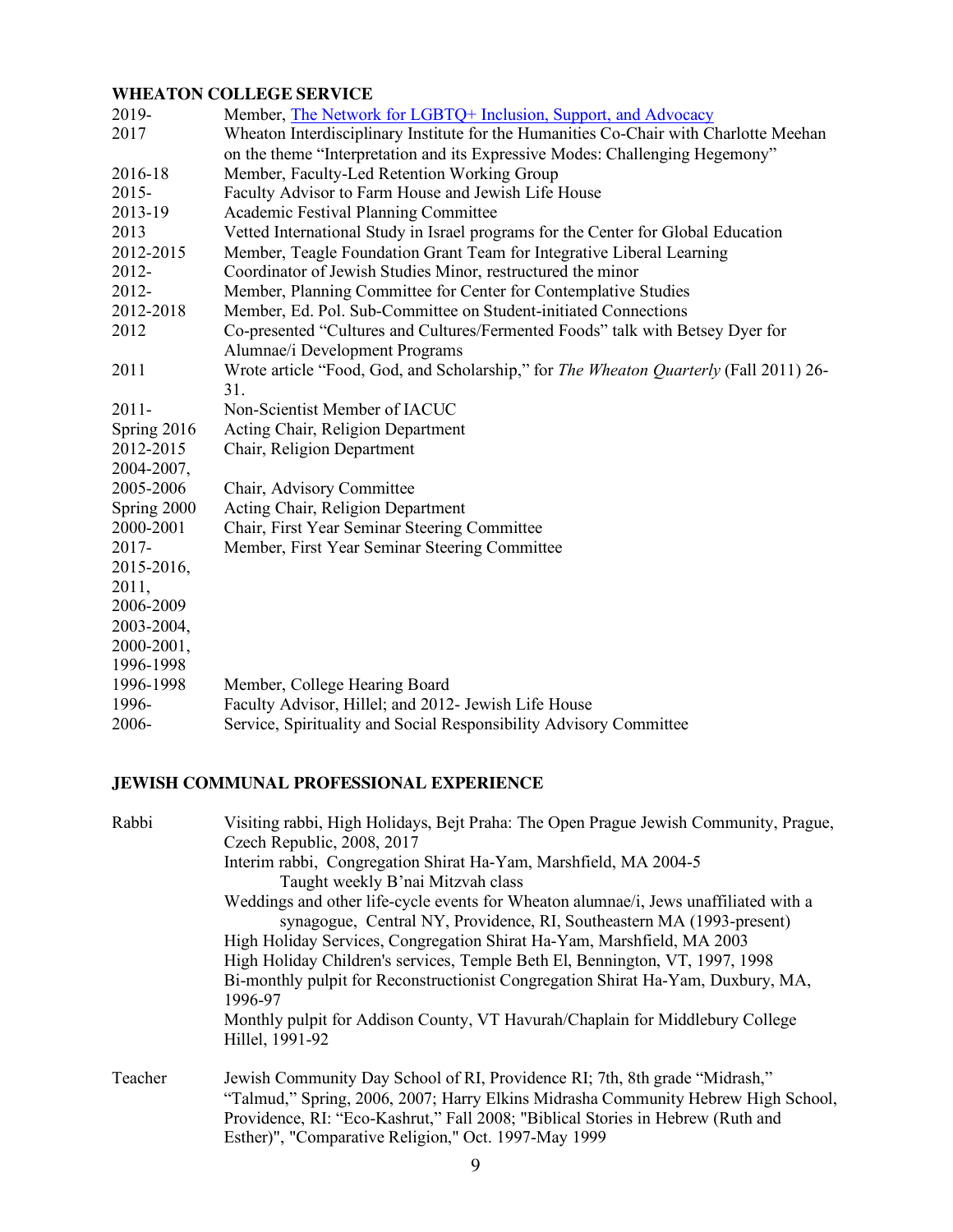# **WHEATON COLLEGE SERVICE**

| 2019-<br>2017 | Member, The Network for LGBTQ+ Inclusion, Support, and Advocacy<br>Wheaton Interdisciplinary Institute for the Humanities Co-Chair with Charlotte Meehan |
|---------------|----------------------------------------------------------------------------------------------------------------------------------------------------------|
|               | on the theme "Interpretation and its Expressive Modes: Challenging Hegemony"                                                                             |
| 2016-18       | Member, Faculty-Led Retention Working Group                                                                                                              |
| 2015-         | Faculty Advisor to Farm House and Jewish Life House                                                                                                      |
| 2013-19       | Academic Festival Planning Committee                                                                                                                     |
| 2013          | Vetted International Study in Israel programs for the Center for Global Education                                                                        |
| 2012-2015     | Member, Teagle Foundation Grant Team for Integrative Liberal Learning                                                                                    |
| 2012-         | Coordinator of Jewish Studies Minor, restructured the minor                                                                                              |
| 2012-         | Member, Planning Committee for Center for Contemplative Studies                                                                                          |
| 2012-2018     | Member, Ed. Pol. Sub-Committee on Student-initiated Connections                                                                                          |
| 2012          | Co-presented "Cultures and Cultures/Fermented Foods" talk with Betsey Dyer for                                                                           |
|               | Alumnae/i Development Programs                                                                                                                           |
| 2011          | Wrote article "Food, God, and Scholarship," for <i>The Wheaton Quarterly</i> (Fall 2011) 26-<br>31.                                                      |
| $2011 -$      | Non-Scientist Member of IACUC                                                                                                                            |
| Spring 2016   | Acting Chair, Religion Department                                                                                                                        |
| 2012-2015     | Chair, Religion Department                                                                                                                               |
| 2004-2007,    |                                                                                                                                                          |
| 2005-2006     | Chair, Advisory Committee                                                                                                                                |
| Spring 2000   | Acting Chair, Religion Department                                                                                                                        |
| 2000-2001     | Chair, First Year Seminar Steering Committee                                                                                                             |
| $2017 -$      | Member, First Year Seminar Steering Committee                                                                                                            |
| 2015-2016,    |                                                                                                                                                          |
| 2011,         |                                                                                                                                                          |
| 2006-2009     |                                                                                                                                                          |
| 2003-2004,    |                                                                                                                                                          |
| 2000-2001,    |                                                                                                                                                          |
| 1996-1998     |                                                                                                                                                          |
| 1996-1998     | Member, College Hearing Board                                                                                                                            |
| 1996-         | Faculty Advisor, Hillel; and 2012- Jewish Life House                                                                                                     |
| 2006-         | Service, Spirituality and Social Responsibility Advisory Committee                                                                                       |

# **JEWISH COMMUNAL PROFESSIONAL EXPERIENCE**

| Rabbi   | Visiting rabbi, High Holidays, Bejt Praha: The Open Prague Jewish Community, Prague,             |
|---------|--------------------------------------------------------------------------------------------------|
|         | Czech Republic, 2008, 2017                                                                       |
|         | Interim rabbi, Congregation Shirat Ha-Yam, Marshfield, MA 2004-5                                 |
|         | Taught weekly B'nai Mitzvah class                                                                |
|         | Weddings and other life-cycle events for Wheaton alumnae/i, Jews unaffiliated with a             |
|         | synagogue, Central NY, Providence, RI, Southeastern MA (1993-present)                            |
|         | High Holiday Services, Congregation Shirat Ha-Yam, Marshfield, MA 2003                           |
|         | High Holiday Children's services, Temple Beth El, Bennington, VT, 1997, 1998                     |
|         | Bi-monthly pulpit for Reconstructionist Congregation Shirat Ha-Yam, Duxbury, MA,<br>1996-97      |
|         | Monthly pulpit for Addison County, VT Havurah/Chaplain for Middlebury College<br>Hillel, 1991-92 |
| Teacher | Jewish Community Day School of RI, Providence RI, 7th, 8th grade "Midrash,"                      |
|         | "Talmud," Spring, 2006, 2007; Harry Elkins Midrasha Community Hebrew High School,                |
|         | Providence, RI: "Eco-Kashrut," Fall 2008; "Biblical Stories in Hebrew (Ruth and                  |
|         | Esther)", "Comparative Religion," Oct. 1997-May 1999                                             |